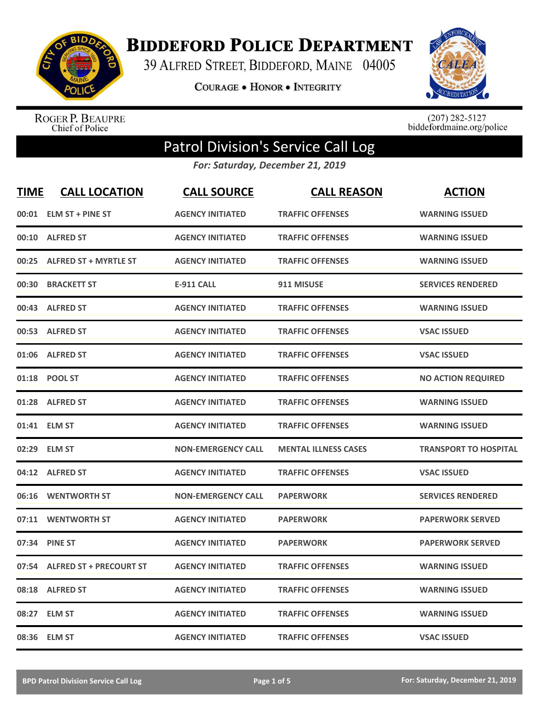

**BIDDEFORD POLICE DEPARTMENT** 

39 ALFRED STREET, BIDDEFORD, MAINE 04005

**COURAGE . HONOR . INTEGRITY** 



ROGER P. BEAUPRE<br>Chief of Police

 $(207)$  282-5127<br>biddefordmaine.org/police

## Patrol Division's Service Call Log

*For: Saturday, December 21, 2019*

| <b>TIME</b> | <b>CALL LOCATION</b>           | <b>CALL SOURCE</b>        | <b>CALL REASON</b>          | <b>ACTION</b>                |
|-------------|--------------------------------|---------------------------|-----------------------------|------------------------------|
| 00:01       | <b>ELM ST + PINE ST</b>        | <b>AGENCY INITIATED</b>   | <b>TRAFFIC OFFENSES</b>     | <b>WARNING ISSUED</b>        |
| 00:10       | <b>ALFRED ST</b>               | <b>AGENCY INITIATED</b>   | <b>TRAFFIC OFFENSES</b>     | <b>WARNING ISSUED</b>        |
| 00:25       | <b>ALFRED ST + MYRTLE ST</b>   | <b>AGENCY INITIATED</b>   | <b>TRAFFIC OFFENSES</b>     | <b>WARNING ISSUED</b>        |
| 00:30       | <b>BRACKETT ST</b>             | <b>E-911 CALL</b>         | 911 MISUSE                  | <b>SERVICES RENDERED</b>     |
| 00:43       | <b>ALFRED ST</b>               | <b>AGENCY INITIATED</b>   | <b>TRAFFIC OFFENSES</b>     | <b>WARNING ISSUED</b>        |
|             | 00:53 ALFRED ST                | <b>AGENCY INITIATED</b>   | <b>TRAFFIC OFFENSES</b>     | <b>VSAC ISSUED</b>           |
| 01:06       | <b>ALFRED ST</b>               | <b>AGENCY INITIATED</b>   | <b>TRAFFIC OFFENSES</b>     | <b>VSAC ISSUED</b>           |
| 01:18       | <b>POOL ST</b>                 | <b>AGENCY INITIATED</b>   | <b>TRAFFIC OFFENSES</b>     | <b>NO ACTION REQUIRED</b>    |
| 01:28       | <b>ALFRED ST</b>               | <b>AGENCY INITIATED</b>   | <b>TRAFFIC OFFENSES</b>     | <b>WARNING ISSUED</b>        |
| 01:41       | <b>ELM ST</b>                  | <b>AGENCY INITIATED</b>   | <b>TRAFFIC OFFENSES</b>     | <b>WARNING ISSUED</b>        |
| 02:29       | <b>ELM ST</b>                  | <b>NON-EMERGENCY CALL</b> | <b>MENTAL ILLNESS CASES</b> | <b>TRANSPORT TO HOSPITAL</b> |
|             | 04:12 ALFRED ST                | <b>AGENCY INITIATED</b>   | <b>TRAFFIC OFFENSES</b>     | <b>VSAC ISSUED</b>           |
| 06:16       | <b>WENTWORTH ST</b>            | <b>NON-EMERGENCY CALL</b> | <b>PAPERWORK</b>            | <b>SERVICES RENDERED</b>     |
| 07:11       | <b>WENTWORTH ST</b>            | <b>AGENCY INITIATED</b>   | <b>PAPERWORK</b>            | <b>PAPERWORK SERVED</b>      |
| 07:34       | <b>PINE ST</b>                 | <b>AGENCY INITIATED</b>   | <b>PAPERWORK</b>            | <b>PAPERWORK SERVED</b>      |
| 07:54       | <b>ALFRED ST + PRECOURT ST</b> | <b>AGENCY INITIATED</b>   | <b>TRAFFIC OFFENSES</b>     | <b>WARNING ISSUED</b>        |
| 08:18       | <b>ALFRED ST</b>               | <b>AGENCY INITIATED</b>   | <b>TRAFFIC OFFENSES</b>     | <b>WARNING ISSUED</b>        |
| 08:27       | <b>ELM ST</b>                  | <b>AGENCY INITIATED</b>   | <b>TRAFFIC OFFENSES</b>     | <b>WARNING ISSUED</b>        |
|             | 08:36 ELM ST                   | <b>AGENCY INITIATED</b>   | <b>TRAFFIC OFFENSES</b>     | <b>VSAC ISSUED</b>           |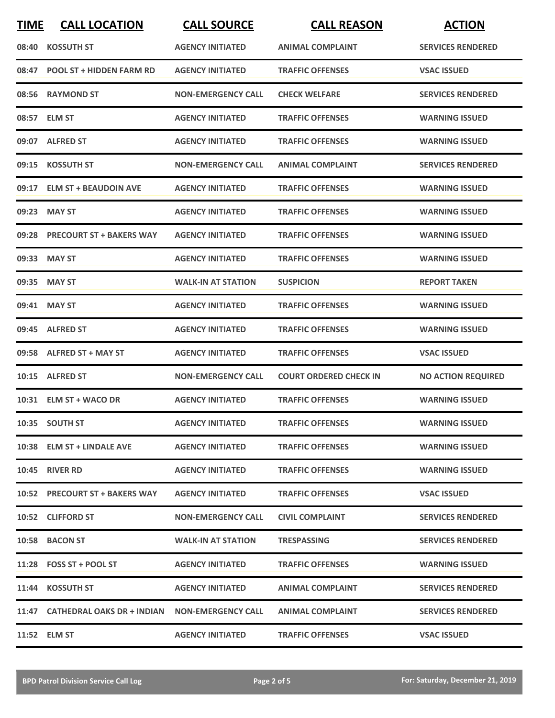| <b>TIME</b> | <b>CALL LOCATION</b>                                | <b>CALL SOURCE</b>        | <b>CALL REASON</b>            | <b>ACTION</b>             |
|-------------|-----------------------------------------------------|---------------------------|-------------------------------|---------------------------|
| 08:40       | <b>KOSSUTH ST</b>                                   | <b>AGENCY INITIATED</b>   | <b>ANIMAL COMPLAINT</b>       | <b>SERVICES RENDERED</b>  |
| 08:47       | <b>POOL ST + HIDDEN FARM RD</b>                     | <b>AGENCY INITIATED</b>   | <b>TRAFFIC OFFENSES</b>       | <b>VSAC ISSUED</b>        |
|             | 08:56 RAYMOND ST                                    | <b>NON-EMERGENCY CALL</b> | <b>CHECK WELFARE</b>          | <b>SERVICES RENDERED</b>  |
|             | 08:57 ELM ST                                        | <b>AGENCY INITIATED</b>   | <b>TRAFFIC OFFENSES</b>       | <b>WARNING ISSUED</b>     |
|             | 09:07 ALFRED ST                                     | <b>AGENCY INITIATED</b>   | <b>TRAFFIC OFFENSES</b>       | <b>WARNING ISSUED</b>     |
| 09:15       | <b>KOSSUTH ST</b>                                   | <b>NON-EMERGENCY CALL</b> | <b>ANIMAL COMPLAINT</b>       | <b>SERVICES RENDERED</b>  |
| 09:17       | <b>ELM ST + BEAUDOIN AVE</b>                        | <b>AGENCY INITIATED</b>   | <b>TRAFFIC OFFENSES</b>       | <b>WARNING ISSUED</b>     |
| 09:23       | <b>MAY ST</b>                                       | <b>AGENCY INITIATED</b>   | <b>TRAFFIC OFFENSES</b>       | <b>WARNING ISSUED</b>     |
|             | 09:28 PRECOURT ST + BAKERS WAY                      | <b>AGENCY INITIATED</b>   | <b>TRAFFIC OFFENSES</b>       | <b>WARNING ISSUED</b>     |
|             | 09:33 MAY ST                                        | <b>AGENCY INITIATED</b>   | <b>TRAFFIC OFFENSES</b>       | <b>WARNING ISSUED</b>     |
|             | 09:35 MAY ST                                        | <b>WALK-IN AT STATION</b> | <b>SUSPICION</b>              | <b>REPORT TAKEN</b>       |
|             | 09:41 MAY ST                                        | <b>AGENCY INITIATED</b>   | <b>TRAFFIC OFFENSES</b>       | <b>WARNING ISSUED</b>     |
|             | 09:45 ALFRED ST                                     | <b>AGENCY INITIATED</b>   | <b>TRAFFIC OFFENSES</b>       | <b>WARNING ISSUED</b>     |
| 09:58       | <b>ALFRED ST + MAY ST</b>                           | <b>AGENCY INITIATED</b>   | <b>TRAFFIC OFFENSES</b>       | <b>VSAC ISSUED</b>        |
|             | 10:15 ALFRED ST                                     | <b>NON-EMERGENCY CALL</b> | <b>COURT ORDERED CHECK IN</b> | <b>NO ACTION REQUIRED</b> |
|             | 10:31 ELM ST + WACO DR                              | <b>AGENCY INITIATED</b>   | <b>TRAFFIC OFFENSES</b>       | <b>WARNING ISSUED</b>     |
|             | 10:35 SOUTH ST                                      | <b>AGENCY INITIATED</b>   | <b>TRAFFIC OFFENSES</b>       | <b>WARNING ISSUED</b>     |
|             | 10:38 ELM ST + LINDALE AVE                          | <b>AGENCY INITIATED</b>   | <b>TRAFFIC OFFENSES</b>       | <b>WARNING ISSUED</b>     |
|             | <b>10:45 RIVER RD</b>                               | <b>AGENCY INITIATED</b>   | <b>TRAFFIC OFFENSES</b>       | <b>WARNING ISSUED</b>     |
|             | 10:52 PRECOURT ST + BAKERS WAY                      | <b>AGENCY INITIATED</b>   | <b>TRAFFIC OFFENSES</b>       | <b>VSAC ISSUED</b>        |
|             | 10:52 CLIFFORD ST                                   | <b>NON-EMERGENCY CALL</b> | <b>CIVIL COMPLAINT</b>        | <b>SERVICES RENDERED</b>  |
|             | 10:58 BACON ST                                      | <b>WALK-IN AT STATION</b> | <b>TRESPASSING</b>            | <b>SERVICES RENDERED</b>  |
|             | $11:28$ FOSS ST + POOL ST                           | <b>AGENCY INITIATED</b>   | <b>TRAFFIC OFFENSES</b>       | <b>WARNING ISSUED</b>     |
|             | 11:44 KOSSUTH ST                                    | <b>AGENCY INITIATED</b>   | <b>ANIMAL COMPLAINT</b>       | <b>SERVICES RENDERED</b>  |
|             | 11:47 CATHEDRAL OAKS DR + INDIAN NON-EMERGENCY CALL |                           | <b>ANIMAL COMPLAINT</b>       | <b>SERVICES RENDERED</b>  |
|             | 11:52 ELM ST                                        | <b>AGENCY INITIATED</b>   | <b>TRAFFIC OFFENSES</b>       | <b>VSAC ISSUED</b>        |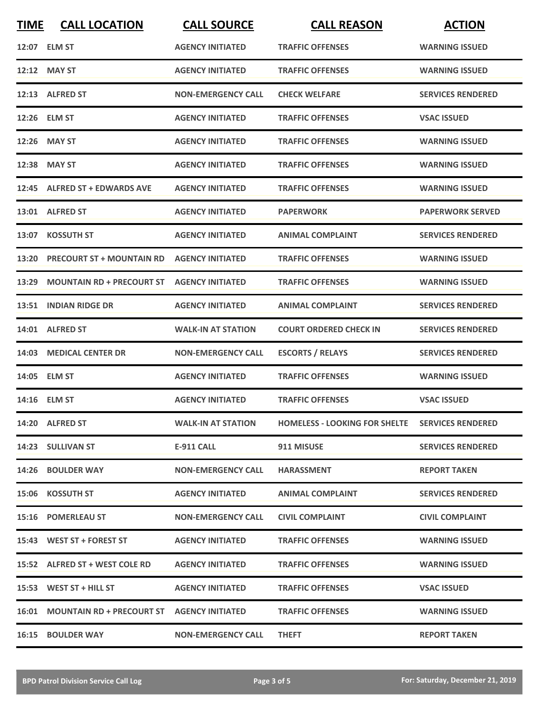| <b>TIME</b> | <b>CALL LOCATION</b>             | <b>CALL SOURCE</b>        | <b>CALL REASON</b>                   | <b>ACTION</b>            |
|-------------|----------------------------------|---------------------------|--------------------------------------|--------------------------|
|             | 12:07 ELM ST                     | <b>AGENCY INITIATED</b>   | <b>TRAFFIC OFFENSES</b>              | <b>WARNING ISSUED</b>    |
|             | 12:12 MAY ST                     | <b>AGENCY INITIATED</b>   | <b>TRAFFIC OFFENSES</b>              | <b>WARNING ISSUED</b>    |
|             | 12:13 ALFRED ST                  | <b>NON-EMERGENCY CALL</b> | <b>CHECK WELFARE</b>                 | <b>SERVICES RENDERED</b> |
|             | 12:26 ELM ST                     | <b>AGENCY INITIATED</b>   | <b>TRAFFIC OFFENSES</b>              | <b>VSAC ISSUED</b>       |
|             | 12:26 MAY ST                     | <b>AGENCY INITIATED</b>   | <b>TRAFFIC OFFENSES</b>              | <b>WARNING ISSUED</b>    |
|             | 12:38 MAY ST                     | <b>AGENCY INITIATED</b>   | <b>TRAFFIC OFFENSES</b>              | <b>WARNING ISSUED</b>    |
| 12:45       | <b>ALFRED ST + EDWARDS AVE</b>   | <b>AGENCY INITIATED</b>   | <b>TRAFFIC OFFENSES</b>              | <b>WARNING ISSUED</b>    |
|             | 13:01 ALFRED ST                  | <b>AGENCY INITIATED</b>   | <b>PAPERWORK</b>                     | <b>PAPERWORK SERVED</b>  |
| 13:07       | <b>KOSSUTH ST</b>                | <b>AGENCY INITIATED</b>   | <b>ANIMAL COMPLAINT</b>              | <b>SERVICES RENDERED</b> |
| 13:20       | <b>PRECOURT ST + MOUNTAIN RD</b> | <b>AGENCY INITIATED</b>   | <b>TRAFFIC OFFENSES</b>              | <b>WARNING ISSUED</b>    |
| 13:29       | <b>MOUNTAIN RD + PRECOURT ST</b> | <b>AGENCY INITIATED</b>   | <b>TRAFFIC OFFENSES</b>              | <b>WARNING ISSUED</b>    |
| 13:51       | <b>INDIAN RIDGE DR</b>           | <b>AGENCY INITIATED</b>   | <b>ANIMAL COMPLAINT</b>              | <b>SERVICES RENDERED</b> |
| 14:01       | <b>ALFRED ST</b>                 | <b>WALK-IN AT STATION</b> | <b>COURT ORDERED CHECK IN</b>        | <b>SERVICES RENDERED</b> |
| 14:03       | <b>MEDICAL CENTER DR</b>         | <b>NON-EMERGENCY CALL</b> | <b>ESCORTS / RELAYS</b>              | <b>SERVICES RENDERED</b> |
|             | 14:05 ELM ST                     | <b>AGENCY INITIATED</b>   | <b>TRAFFIC OFFENSES</b>              | <b>WARNING ISSUED</b>    |
|             | 14:16 ELM ST                     | <b>AGENCY INITIATED</b>   | <b>TRAFFIC OFFENSES</b>              | <b>VSAC ISSUED</b>       |
|             | 14:20 ALFRED ST                  | <b>WALK-IN AT STATION</b> | <b>HOMELESS - LOOKING FOR SHELTE</b> | <b>SERVICES RENDERED</b> |
|             | 14:23 SULLIVAN ST                | E-911 CALL                | 911 MISUSE                           | <b>SERVICES RENDERED</b> |
|             | 14:26 BOULDER WAY                | <b>NON-EMERGENCY CALL</b> | <b>HARASSMENT</b>                    | <b>REPORT TAKEN</b>      |
|             | 15:06 KOSSUTH ST                 | <b>AGENCY INITIATED</b>   | <b>ANIMAL COMPLAINT</b>              | <b>SERVICES RENDERED</b> |
|             | 15:16 POMERLEAU ST               | <b>NON-EMERGENCY CALL</b> | <b>CIVIL COMPLAINT</b>               | <b>CIVIL COMPLAINT</b>   |
|             | 15:43 WEST ST + FOREST ST        | <b>AGENCY INITIATED</b>   | <b>TRAFFIC OFFENSES</b>              | <b>WARNING ISSUED</b>    |
|             | 15:52 ALFRED ST + WEST COLE RD   | <b>AGENCY INITIATED</b>   | <b>TRAFFIC OFFENSES</b>              | <b>WARNING ISSUED</b>    |
|             | $15:53$ WEST ST + HILL ST        | <b>AGENCY INITIATED</b>   | <b>TRAFFIC OFFENSES</b>              | <b>VSAC ISSUED</b>       |
|             |                                  |                           | <b>TRAFFIC OFFENSES</b>              | <b>WARNING ISSUED</b>    |
|             | <b>16:15 BOULDER WAY</b>         | <b>NON-EMERGENCY CALL</b> | <b>THEFT</b>                         | <b>REPORT TAKEN</b>      |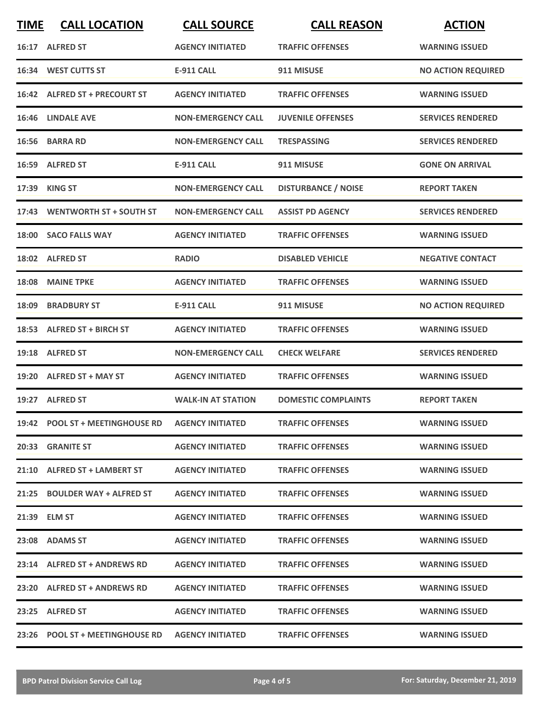| <b>TIME</b> | <b>CALL LOCATION</b>                             | <b>CALL SOURCE</b>        | <b>CALL REASON</b>         | <b>ACTION</b>             |
|-------------|--------------------------------------------------|---------------------------|----------------------------|---------------------------|
|             | 16:17 ALFRED ST                                  | <b>AGENCY INITIATED</b>   | <b>TRAFFIC OFFENSES</b>    | <b>WARNING ISSUED</b>     |
| 16:34       | <b>WEST CUTTS ST</b>                             | <b>E-911 CALL</b>         | 911 MISUSE                 | <b>NO ACTION REQUIRED</b> |
|             | 16:42 ALFRED ST + PRECOURT ST                    | <b>AGENCY INITIATED</b>   | <b>TRAFFIC OFFENSES</b>    | <b>WARNING ISSUED</b>     |
|             | 16:46 LINDALE AVE                                | <b>NON-EMERGENCY CALL</b> | <b>JUVENILE OFFENSES</b>   | <b>SERVICES RENDERED</b>  |
|             | 16:56 BARRA RD                                   | <b>NON-EMERGENCY CALL</b> | <b>TRESPASSING</b>         | <b>SERVICES RENDERED</b>  |
|             | 16:59 ALFRED ST                                  | <b>E-911 CALL</b>         | 911 MISUSE                 | <b>GONE ON ARRIVAL</b>    |
|             | 17:39 KING ST                                    | <b>NON-EMERGENCY CALL</b> | <b>DISTURBANCE / NOISE</b> | <b>REPORT TAKEN</b>       |
| 17:43       | <b>WENTWORTH ST + SOUTH ST</b>                   | <b>NON-EMERGENCY CALL</b> | <b>ASSIST PD AGENCY</b>    | <b>SERVICES RENDERED</b>  |
|             | 18:00 SACO FALLS WAY                             | <b>AGENCY INITIATED</b>   | <b>TRAFFIC OFFENSES</b>    | <b>WARNING ISSUED</b>     |
|             | 18:02 ALFRED ST                                  | <b>RADIO</b>              | <b>DISABLED VEHICLE</b>    | <b>NEGATIVE CONTACT</b>   |
|             | 18:08 MAINE TPKE                                 | <b>AGENCY INITIATED</b>   | <b>TRAFFIC OFFENSES</b>    | <b>WARNING ISSUED</b>     |
| 18:09       | <b>BRADBURY ST</b>                               | <b>E-911 CALL</b>         | 911 MISUSE                 | <b>NO ACTION REQUIRED</b> |
|             | 18:53 ALFRED ST + BIRCH ST                       | <b>AGENCY INITIATED</b>   | <b>TRAFFIC OFFENSES</b>    | <b>WARNING ISSUED</b>     |
|             | 19:18 ALFRED ST                                  | <b>NON-EMERGENCY CALL</b> | <b>CHECK WELFARE</b>       | <b>SERVICES RENDERED</b>  |
|             | 19:20 ALFRED ST + MAY ST                         | <b>AGENCY INITIATED</b>   | <b>TRAFFIC OFFENSES</b>    | <b>WARNING ISSUED</b>     |
|             | 19:27 ALFRED ST                                  | <b>WALK-IN AT STATION</b> | <b>DOMESTIC COMPLAINTS</b> | <b>REPORT TAKEN</b>       |
|             | 19:42 POOL ST + MEETINGHOUSE RD AGENCY INITIATED |                           | <b>TRAFFIC OFFENSES</b>    | <b>WARNING ISSUED</b>     |
|             | 20:33 GRANITE ST                                 | <b>AGENCY INITIATED</b>   | <b>TRAFFIC OFFENSES</b>    | <b>WARNING ISSUED</b>     |
|             | 21:10 ALFRED ST + LAMBERT ST                     | <b>AGENCY INITIATED</b>   | <b>TRAFFIC OFFENSES</b>    | <b>WARNING ISSUED</b>     |
|             | 21:25 BOULDER WAY + ALFRED ST                    | <b>AGENCY INITIATED</b>   | <b>TRAFFIC OFFENSES</b>    | <b>WARNING ISSUED</b>     |
|             | 21:39 ELM ST                                     | <b>AGENCY INITIATED</b>   | <b>TRAFFIC OFFENSES</b>    | <b>WARNING ISSUED</b>     |
|             | 23:08 ADAMS ST                                   | <b>AGENCY INITIATED</b>   | <b>TRAFFIC OFFENSES</b>    | <b>WARNING ISSUED</b>     |
|             | 23:14 ALFRED ST + ANDREWS RD                     | <b>AGENCY INITIATED</b>   | <b>TRAFFIC OFFENSES</b>    | <b>WARNING ISSUED</b>     |
|             | 23:20 ALFRED ST + ANDREWS RD                     | <b>AGENCY INITIATED</b>   | <b>TRAFFIC OFFENSES</b>    | <b>WARNING ISSUED</b>     |
|             | 23:25 ALFRED ST                                  | <b>AGENCY INITIATED</b>   | <b>TRAFFIC OFFENSES</b>    | <b>WARNING ISSUED</b>     |
|             | 23:26 POOL ST + MEETINGHOUSE RD                  | <b>AGENCY INITIATED</b>   | <b>TRAFFIC OFFENSES</b>    | <b>WARNING ISSUED</b>     |